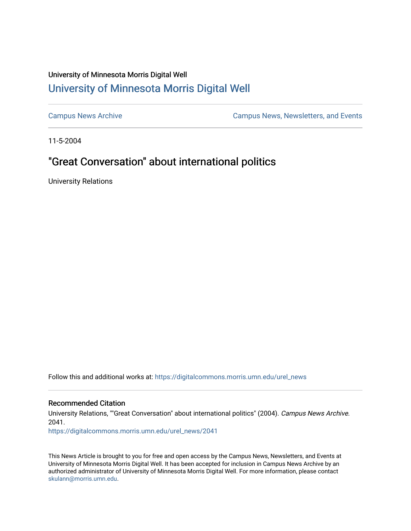## University of Minnesota Morris Digital Well [University of Minnesota Morris Digital Well](https://digitalcommons.morris.umn.edu/)

[Campus News Archive](https://digitalcommons.morris.umn.edu/urel_news) [Campus News, Newsletters, and Events](https://digitalcommons.morris.umn.edu/externalrel) 

11-5-2004

# "Great Conversation" about international politics

University Relations

Follow this and additional works at: [https://digitalcommons.morris.umn.edu/urel\\_news](https://digitalcommons.morris.umn.edu/urel_news?utm_source=digitalcommons.morris.umn.edu%2Furel_news%2F2041&utm_medium=PDF&utm_campaign=PDFCoverPages) 

#### Recommended Citation

University Relations, ""Great Conversation" about international politics" (2004). Campus News Archive. 2041.

[https://digitalcommons.morris.umn.edu/urel\\_news/2041](https://digitalcommons.morris.umn.edu/urel_news/2041?utm_source=digitalcommons.morris.umn.edu%2Furel_news%2F2041&utm_medium=PDF&utm_campaign=PDFCoverPages) 

This News Article is brought to you for free and open access by the Campus News, Newsletters, and Events at University of Minnesota Morris Digital Well. It has been accepted for inclusion in Campus News Archive by an authorized administrator of University of Minnesota Morris Digital Well. For more information, please contact [skulann@morris.umn.edu.](mailto:skulann@morris.umn.edu)